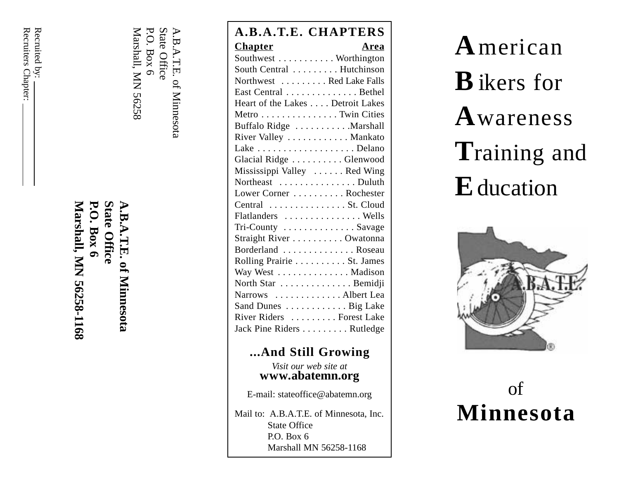Recruiters Chapter: Recruiters Chapter: Recruited by: Recruited by:

> **Marshall, MN 56258-1168 P.O. Box 6 State Office A.B.A.T.E. of Minnesota** Marshall, MN 56258-1168 **P.O. Box 6** cate Office **T.E.** of Minnesota

Marshall, MN 56258 Marshall, MN 56258 P.O. Box 6 P.O. Box 6 State Office State Office

|                                                                  | A.B.A.T.E. CHAPTERS              |      |
|------------------------------------------------------------------|----------------------------------|------|
| $\overline{A}$ . $B$ . $\overline{A}$ . $T$ . $E$ . of Minnesota | <b>Chapter</b>                   | Area |
|                                                                  | Southwest Worthington            |      |
|                                                                  | South Central  Hutchinson        |      |
|                                                                  | Northwest  Red Lake Falls        |      |
|                                                                  | East Central Bethel              |      |
|                                                                  | Heart of the Lakes Detroit Lakes |      |
|                                                                  | Metro Twin Cities                |      |
|                                                                  | Buffalo Ridge  Marshall          |      |
|                                                                  | River Valley Mankato             |      |
|                                                                  |                                  |      |
|                                                                  | Glacial Ridge Glenwood           |      |
|                                                                  | Mississippi Valley  Red Wing     |      |
|                                                                  | Northeast Duluth                 |      |
|                                                                  | Lower Corner  Rochester          |      |
|                                                                  | Central  St. Cloud               |      |
|                                                                  | Flatlanders  Wells               |      |
|                                                                  | Tri-County Savage                |      |
|                                                                  | Straight River Owatonna          |      |
|                                                                  | Borderland Roseau                |      |
|                                                                  | Rolling Prairie St. James        |      |
|                                                                  | Way West Madison                 |      |
|                                                                  | North Star Bemidji               |      |
|                                                                  | Narrows Albert Lea               |      |
|                                                                  | Sand Dunes Big Lake              |      |
|                                                                  | River Riders  Forest Lake        |      |
|                                                                  | Jack Pine Riders Rutledge        |      |
|                                                                  |                                  |      |

## **...And Still Growing**

*Visit our web site at* **www.abatemn.org**

E-mail: stateoffice@abatemn.org

Mail to: A.B.A.T.E. of Minnesota, Inc. State Office P.O. Box 6 Marshall MN 56258-1168

**A**merican **B**ikers for **A**wareness **T**raining and **E**ducation



# of **Minnesota**